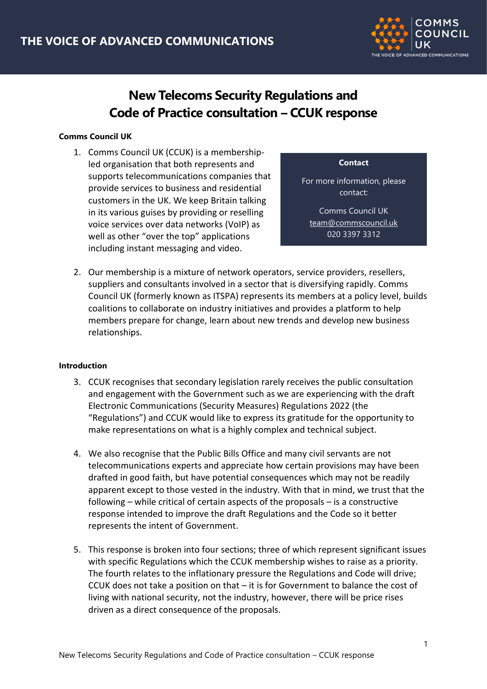

# **New Telecoms Security Regulations and Code of Practice consultation – CCUK response**

## **Comms Council UK**

1. Comms Council UK (CCUK) is a membershipled organisation that both represents and supports telecommunications companies that provide services to business and residential customers in the UK. We keep Britain talking in its various guises by providing or reselling voice services over data networks (VoIP) as well as other "over the top" applications including instant messaging and video.

**Contact**

For more information, please contact:

Comms Council UK [team@commscouncil.uk](mailto:team@commscouncil.uk) 020 3397 3312

<mark>. We have a strong strong the strong strong</mark> strong strong strong strong strong strong strong strong strong strong<br>The strong strong strong strong strong strong strong strong strong strong strong strong strong strong stro

2. Our membership is a mixture of network operators, service providers, resellers, suppliers and consultants involved in a sector that is diversifying rapidly. Comms Council UK (formerly known as ITSPA) represents its members at a policy level, builds coalitions to collaborate on industry initiatives and provides a platform to help members prepare for change, learn about new trends and develop new business relationships.

## **Introduction**

- 3. CCUK recognises that secondary legislation rarely receives the public consultation and engagement with the Government such as we are experiencing with the draft Electronic Communications (Security Measures) Regulations 2022 (the "Regulations") and CCUK would like to express its gratitude for the opportunity to make representations on what is a highly complex and technical subject.
- 4. We also recognise that the Public Bills Office and many civil servants are not telecommunications experts and appreciate how certain provisions may have been drafted in good faith, but have potential consequences which may not be readily apparent except to those vested in the industry. With that in mind, we trust that the following – while critical of certain aspects of the proposals – is a constructive response intended to improve the draft Regulations and the Code so it better represents the intent of Government.
- 5. This response is broken into four sections; three of which represent significant issues with specific Regulations which the CCUK membership wishes to raise as a priority. The fourth relates to the inflationary pressure the Regulations and Code will drive; CCUK does not take a position on that – it is for Government to balance the cost of living with national security, not the industry, however, there will be price rises driven as a direct consequence of the proposals.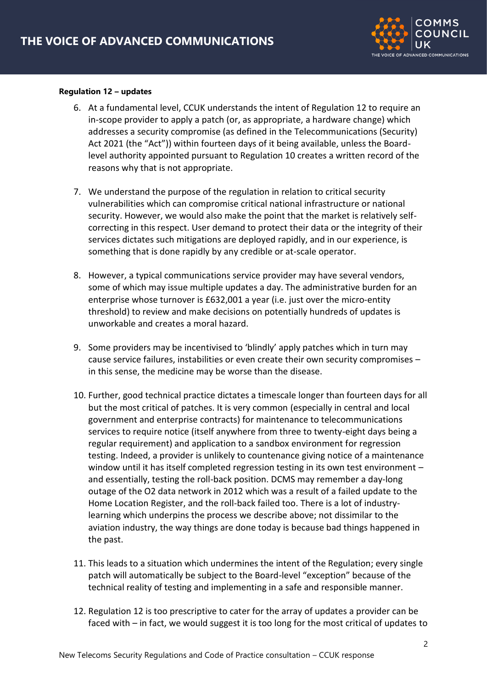

#### **Regulation 12 – updates**

- 6. At a fundamental level, CCUK understands the intent of Regulation 12 to require an in-scope provider to apply a patch (or, as appropriate, a hardware change) which addresses a security compromise (as defined in the Telecommunications (Security) Act 2021 (the "Act")) within fourteen days of it being available, unless the Boardlevel authority appointed pursuant to Regulation 10 creates a written record of the reasons why that is not appropriate.
- 7. We understand the purpose of the regulation in relation to critical security vulnerabilities which can compromise critical national infrastructure or national security. However, we would also make the point that the market is relatively selfcorrecting in this respect. User demand to protect their data or the integrity of their services dictates such mitigations are deployed rapidly, and in our experience, is something that is done rapidly by any credible or at-scale operator.
- 8. However, a typical communications service provider may have several vendors, some of which may issue multiple updates a day. The administrative burden for an enterprise whose turnover is £632,001 a year (i.e. just over the micro-entity threshold) to review and make decisions on potentially hundreds of updates is unworkable and creates a moral hazard.
- 9. Some providers may be incentivised to 'blindly' apply patches which in turn may cause service failures, instabilities or even create their own security compromises – in this sense, the medicine may be worse than the disease.
- 10. Further, good technical practice dictates a timescale longer than fourteen days for all but the most critical of patches. It is very common (especially in central and local government and enterprise contracts) for maintenance to telecommunications services to require notice (itself anywhere from three to twenty-eight days being a regular requirement) and application to a sandbox environment for regression testing. Indeed, a provider is unlikely to countenance giving notice of a maintenance window until it has itself completed regression testing in its own test environment and essentially, testing the roll-back position. DCMS may remember a day-long outage of the O2 data network in 2012 which was a result of a failed update to the Home Location Register, and the roll-back failed too. There is a lot of industrylearning which underpins the process we describe above; not dissimilar to the aviation industry, the way things are done today is because bad things happened in the past.
- 11. This leads to a situation which undermines the intent of the Regulation; every single patch will automatically be subject to the Board-level "exception" because of the technical reality of testing and implementing in a safe and responsible manner.
- 12. Regulation 12 is too prescriptive to cater for the array of updates a provider can be faced with – in fact, we would suggest it is too long for the most critical of updates to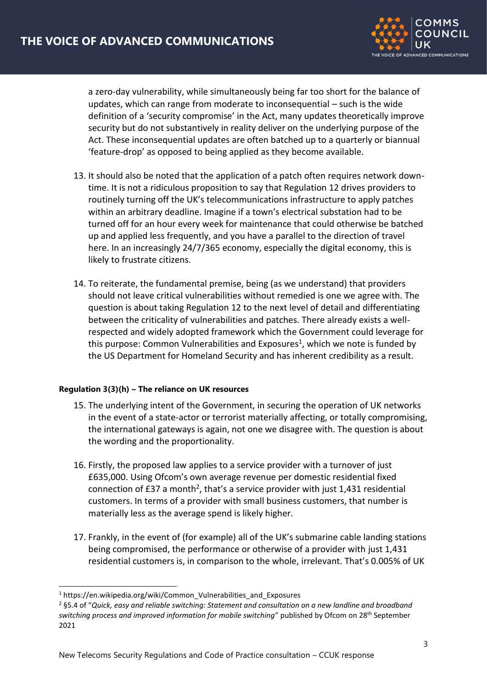

a zero-day vulnerability, while simultaneously being far too short for the balance of updates, which can range from moderate to inconsequential – such is the wide definition of a 'security compromise' in the Act, many updates theoretically improve security but do not substantively in reality deliver on the underlying purpose of the Act. These inconsequential updates are often batched up to a quarterly or biannual 'feature-drop' as opposed to being applied as they become available.

- 13. It should also be noted that the application of a patch often requires network downtime. It is not a ridiculous proposition to say that Regulation 12 drives providers to routinely turning off the UK's telecommunications infrastructure to apply patches within an arbitrary deadline. Imagine if a town's electrical substation had to be turned off for an hour every week for maintenance that could otherwise be batched up and applied less frequently, and you have a parallel to the direction of travel here. In an increasingly 24/7/365 economy, especially the digital economy, this is likely to frustrate citizens.
- 14. To reiterate, the fundamental premise, being (as we understand) that providers should not leave critical vulnerabilities without remedied is one we agree with. The question is about taking Regulation 12 to the next level of detail and differentiating between the criticality of vulnerabilities and patches. There already exists a wellrespected and widely adopted framework which the Government could leverage for this purpose: Common Vulnerabilities and Exposures<sup>1</sup>, which we note is funded by the US Department for Homeland Security and has inherent credibility as a result.

## **Regulation 3(3)(h) – The reliance on UK resources**

- 15. The underlying intent of the Government, in securing the operation of UK networks in the event of a state-actor or terrorist materially affecting, or totally compromising, the international gateways is again, not one we disagree with. The question is about the wording and the proportionality.
- 16. Firstly, the proposed law applies to a service provider with a turnover of just £635,000. Using Ofcom's own average revenue per domestic residential fixed connection of £37 a month<sup>2</sup>, that's a service provider with just 1,431 residential customers. In terms of a provider with small business customers, that number is materially less as the average spend is likely higher.
- 17. Frankly, in the event of (for example) all of the UK's submarine cable landing stations being compromised, the performance or otherwise of a provider with just 1,431 residential customers is, in comparison to the whole, irrelevant. That's 0.005% of UK

<sup>&</sup>lt;sup>1</sup> https://en.wikipedia.org/wiki/Common\_Vulnerabilities\_and\_Exposures

<sup>2</sup> §5.4 of "*Quick, easy and reliable switching: Statement and consultation on a new landline and broadband switching process and improved information for mobile switching*" published by Ofcom on 28th September 2021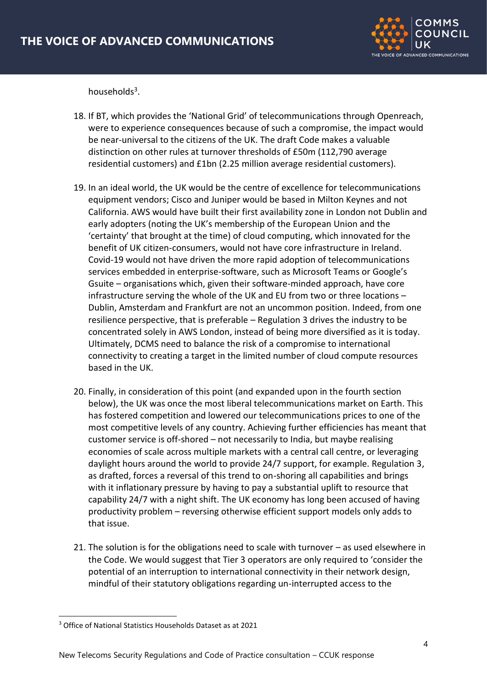

households<sup>3</sup>.

- 18. If BT, which provides the 'National Grid' of telecommunications through Openreach, were to experience consequences because of such a compromise, the impact would be near-universal to the citizens of the UK. The draft Code makes a valuable distinction on other rules at turnover thresholds of £50m (112,790 average residential customers) and £1bn (2.25 million average residential customers).
- 19. In an ideal world, the UK would be the centre of excellence for telecommunications equipment vendors; Cisco and Juniper would be based in Milton Keynes and not California. AWS would have built their first availability zone in London not Dublin and early adopters (noting the UK's membership of the European Union and the 'certainty' that brought at the time) of cloud computing, which innovated for the benefit of UK citizen-consumers, would not have core infrastructure in Ireland. Covid-19 would not have driven the more rapid adoption of telecommunications services embedded in enterprise-software, such as Microsoft Teams or Google's Gsuite – organisations which, given their software-minded approach, have core infrastructure serving the whole of the UK and EU from two or three locations – Dublin, Amsterdam and Frankfurt are not an uncommon position. Indeed, from one resilience perspective, that is preferable – Regulation 3 drives the industry to be concentrated solely in AWS London, instead of being more diversified as it is today. Ultimately, DCMS need to balance the risk of a compromise to international connectivity to creating a target in the limited number of cloud compute resources based in the UK.
- 20. Finally, in consideration of this point (and expanded upon in the fourth section below), the UK was once the most liberal telecommunications market on Earth. This has fostered competition and lowered our telecommunications prices to one of the most competitive levels of any country. Achieving further efficiencies has meant that customer service is off-shored – not necessarily to India, but maybe realising economies of scale across multiple markets with a central call centre, or leveraging daylight hours around the world to provide 24/7 support, for example. Regulation 3, as drafted, forces a reversal of this trend to on-shoring all capabilities and brings with it inflationary pressure by having to pay a substantial uplift to resource that capability 24/7 with a night shift. The UK economy has long been accused of having productivity problem – reversing otherwise efficient support models only adds to that issue.
- 21. The solution is for the obligations need to scale with turnover as used elsewhere in the Code. We would suggest that Tier 3 operators are only required to 'consider the potential of an interruption to international connectivity in their network design, mindful of their statutory obligations regarding un-interrupted access to the

<sup>3</sup> Office of National Statistics Households Dataset as at 2021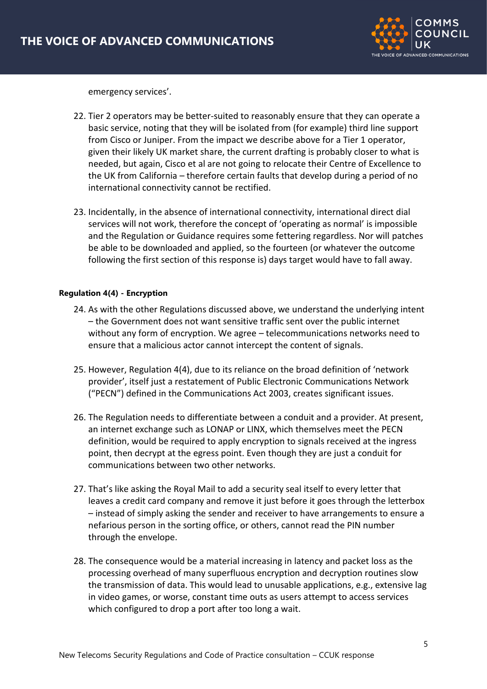

emergency services'.

- 22. Tier 2 operators may be better-suited to reasonably ensure that they can operate a basic service, noting that they will be isolated from (for example) third line support from Cisco or Juniper. From the impact we describe above for a Tier 1 operator, given their likely UK market share, the current drafting is probably closer to what is needed, but again, Cisco et al are not going to relocate their Centre of Excellence to the UK from California – therefore certain faults that develop during a period of no international connectivity cannot be rectified.
- 23. Incidentally, in the absence of international connectivity, international direct dial services will not work, therefore the concept of 'operating as normal' is impossible and the Regulation or Guidance requires some fettering regardless. Nor will patches be able to be downloaded and applied, so the fourteen (or whatever the outcome following the first section of this response is) days target would have to fall away.

## **Regulation 4(4) - Encryption**

- 24. As with the other Regulations discussed above, we understand the underlying intent – the Government does not want sensitive traffic sent over the public internet without any form of encryption. We agree – telecommunications networks need to ensure that a malicious actor cannot intercept the content of signals.
- 25. However, Regulation 4(4), due to its reliance on the broad definition of 'network provider', itself just a restatement of Public Electronic Communications Network ("PECN") defined in the Communications Act 2003, creates significant issues.
- 26. The Regulation needs to differentiate between a conduit and a provider. At present, an internet exchange such as LONAP or LINX, which themselves meet the PECN definition, would be required to apply encryption to signals received at the ingress point, then decrypt at the egress point. Even though they are just a conduit for communications between two other networks.
- 27. That's like asking the Royal Mail to add a security seal itself to every letter that leaves a credit card company and remove it just before it goes through the letterbox – instead of simply asking the sender and receiver to have arrangements to ensure a nefarious person in the sorting office, or others, cannot read the PIN number through the envelope.
- 28. The consequence would be a material increasing in latency and packet loss as the processing overhead of many superfluous encryption and decryption routines slow the transmission of data. This would lead to unusable applications, e.g., extensive lag in video games, or worse, constant time outs as users attempt to access services which configured to drop a port after too long a wait.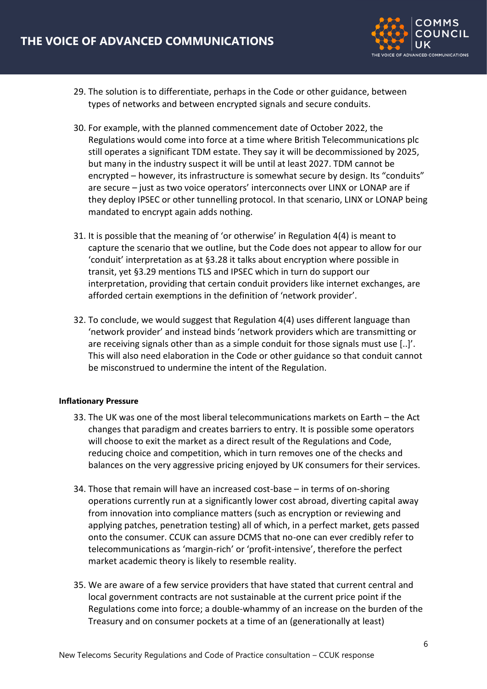

- 29. The solution is to differentiate, perhaps in the Code or other guidance, between types of networks and between encrypted signals and secure conduits.
- 30. For example, with the planned commencement date of October 2022, the Regulations would come into force at a time where British Telecommunications plc still operates a significant TDM estate. They say it will be decommissioned by 2025, but many in the industry suspect it will be until at least 2027. TDM cannot be encrypted – however, its infrastructure is somewhat secure by design. Its "conduits" are secure – just as two voice operators' interconnects over LINX or LONAP are if they deploy IPSEC or other tunnelling protocol. In that scenario, LINX or LONAP being mandated to encrypt again adds nothing.
- 31. It is possible that the meaning of 'or otherwise' in Regulation 4(4) is meant to capture the scenario that we outline, but the Code does not appear to allow for our 'conduit' interpretation as at §3.28 it talks about encryption where possible in transit, yet §3.29 mentions TLS and IPSEC which in turn do support our interpretation, providing that certain conduit providers like internet exchanges, are afforded certain exemptions in the definition of 'network provider'.
- 32. To conclude, we would suggest that Regulation 4(4) uses different language than 'network provider' and instead binds 'network providers which are transmitting or are receiving signals other than as a simple conduit for those signals must use [..]'. This will also need elaboration in the Code or other guidance so that conduit cannot be misconstrued to undermine the intent of the Regulation.

## **Inflationary Pressure**

- 33. The UK was one of the most liberal telecommunications markets on Earth the Act changes that paradigm and creates barriers to entry. It is possible some operators will choose to exit the market as a direct result of the Regulations and Code, reducing choice and competition, which in turn removes one of the checks and balances on the very aggressive pricing enjoyed by UK consumers for their services.
- 34. Those that remain will have an increased cost-base in terms of on-shoring operations currently run at a significantly lower cost abroad, diverting capital away from innovation into compliance matters (such as encryption or reviewing and applying patches, penetration testing) all of which, in a perfect market, gets passed onto the consumer. CCUK can assure DCMS that no-one can ever credibly refer to telecommunications as 'margin-rich' or 'profit-intensive', therefore the perfect market academic theory is likely to resemble reality.
- 35. We are aware of a few service providers that have stated that current central and local government contracts are not sustainable at the current price point if the Regulations come into force; a double-whammy of an increase on the burden of the Treasury and on consumer pockets at a time of an (generationally at least)